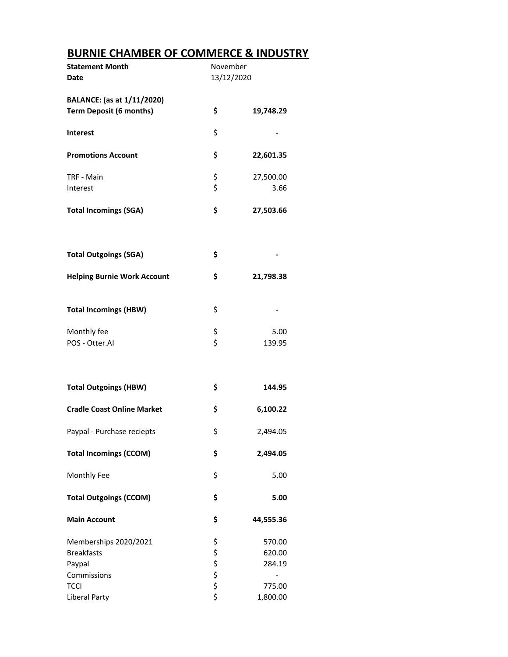## **BURNIE CHAMBER OF COMMERCE & INDUSTRY**

| <b>Statement Month</b>             | November   |                          |
|------------------------------------|------------|--------------------------|
| Date                               | 13/12/2020 |                          |
| BALANCE: (as at 1/11/2020)         |            |                          |
| <b>Term Deposit (6 months)</b>     | \$         | 19,748.29                |
|                                    |            |                          |
| <b>Interest</b>                    | \$         |                          |
|                                    |            |                          |
| <b>Promotions Account</b>          | \$         | 22,601.35                |
|                                    |            |                          |
| TRF - Main                         | \$<br>\$   | 27,500.00<br>3.66        |
| Interest                           |            |                          |
| <b>Total Incomings (SGA)</b>       | \$         | 27,503.66                |
|                                    |            |                          |
|                                    |            |                          |
|                                    |            |                          |
| <b>Total Outgoings (SGA)</b>       | \$         |                          |
| <b>Helping Burnie Work Account</b> | \$         | 21,798.38                |
|                                    |            |                          |
|                                    |            |                          |
| <b>Total Incomings (HBW)</b>       | \$         |                          |
|                                    |            |                          |
| Monthly fee                        | \$<br>\$   | 5.00                     |
| POS - Otter.AI                     |            | 139.95                   |
|                                    |            |                          |
|                                    |            |                          |
| <b>Total Outgoings (HBW)</b>       | \$         | 144.95                   |
|                                    |            |                          |
| <b>Cradle Coast Online Market</b>  | \$         | 6,100.22                 |
|                                    |            |                          |
| Paypal - Purchase reciepts         | \$         | 2,494.05                 |
| <b>Total Incomings (CCOM)</b>      | \$         | 2,494.05                 |
|                                    |            |                          |
| Monthly Fee                        | \$         | 5.00                     |
|                                    |            |                          |
| <b>Total Outgoings (CCOM)</b>      | \$         | 5.00                     |
|                                    |            |                          |
| <b>Main Account</b>                | \$         | 44,555.36                |
| Memberships 2020/2021              |            | 570.00                   |
| <b>Breakfasts</b>                  |            | 620.00                   |
| Paypal                             |            | 284.19                   |
| Commissions                        | ややや やや     | $\overline{\phantom{0}}$ |
| <b>TCCI</b>                        |            | 775.00                   |
| Liberal Party                      |            | 1,800.00                 |